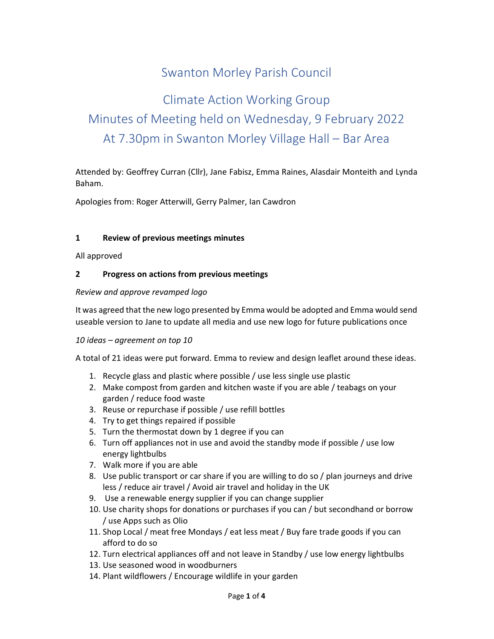## Swanton Morley Parish Council

# Climate Action Working Group Minutes of Meeting held on Wednesday, 9 February 2022 At 7.30pm in Swanton Morley Village Hall – Bar Area

Attended by: Geoffrey Curran (Cllr), Jane Fabisz, Emma Raines, Alasdair Monteith and Lynda Baham.

Apologies from: Roger Atterwill, Gerry Palmer, Ian Cawdron

#### 1 Review of previous meetings minutes

All approved

#### 2 Progress on actions from previous meetings

#### Review and approve revamped logo

It was agreed that the new logo presented by Emma would be adopted and Emma would send useable version to Jane to update all media and use new logo for future publications once

#### 10 ideas – agreement on top 10

A total of 21 ideas were put forward. Emma to review and design leaflet around these ideas.

- 1. Recycle glass and plastic where possible / use less single use plastic
- 2. Make compost from garden and kitchen waste if you are able / teabags on your garden / reduce food waste
- 3. Reuse or repurchase if possible / use refill bottles
- 4. Try to get things repaired if possible
- 5. Turn the thermostat down by 1 degree if you can
- 6. Turn off appliances not in use and avoid the standby mode if possible / use low energy lightbulbs
- 7. Walk more if you are able
- 8. Use public transport or car share if you are willing to do so / plan journeys and drive less / reduce air travel / Avoid air travel and holiday in the UK
- 9. Use a renewable energy supplier if you can change supplier
- 10. Use charity shops for donations or purchases if you can / but secondhand or borrow / use Apps such as Olio
- 11. Shop Local / meat free Mondays / eat less meat / Buy fare trade goods if you can afford to do so
- 12. Turn electrical appliances off and not leave in Standby / use low energy lightbulbs
- 13. Use seasoned wood in woodburners
- 14. Plant wildflowers / Encourage wildlife in your garden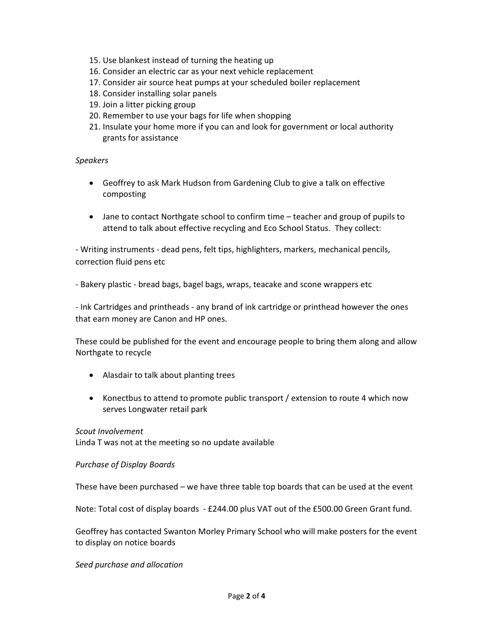- 15. Use blankest instead of turning the heating up
- 16. Consider an electric car as your next vehicle replacement
- 17. Consider air source heat pumps at your scheduled boiler replacement
- 18. Consider installing solar panels
- 19. Join a litter picking group
- 20. Remember to use your bags for life when shopping
- 21. Insulate your home more if you can and look for government or local authority grants for assistance

#### Speakers

- Geoffrey to ask Mark Hudson from Gardening Club to give a talk on effective composting
- Jane to contact Northgate school to confirm time teacher and group of pupils to attend to talk about effective recycling and Eco School Status. They collect:

- Writing instruments - dead pens, felt tips, highlighters, markers, mechanical pencils, correction fluid pens etc

- Bakery plastic - bread bags, bagel bags, wraps, teacake and scone wrappers etc

- Ink Cartridges and printheads - any brand of ink cartridge or printhead however the ones that earn money are Canon and HP ones.

These could be published for the event and encourage people to bring them along and allow Northgate to recycle

- Alasdair to talk about planting trees
- Konectbus to attend to promote public transport / extension to route 4 which now serves Longwater retail park

#### Scout Involvement

Linda T was not at the meeting so no update available

#### Purchase of Display Boards

These have been purchased – we have three table top boards that can be used at the event

Note: Total cost of display boards - £244.00 plus VAT out of the £500.00 Green Grant fund.

Geoffrey has contacted Swanton Morley Primary School who will make posters for the event to display on notice boards

#### Seed purchase and allocation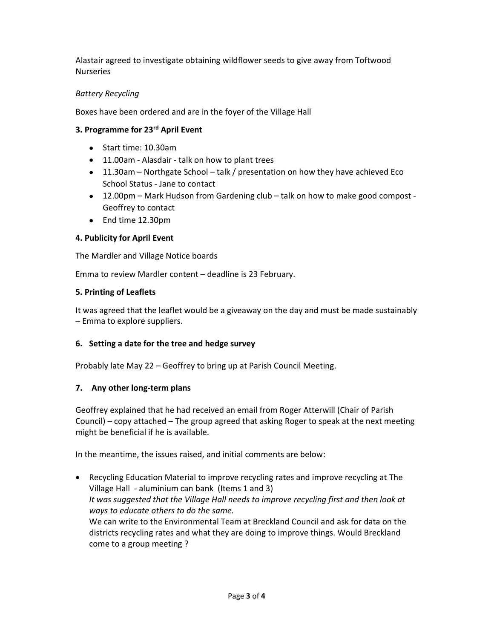Alastair agreed to investigate obtaining wildflower seeds to give away from Toftwood Nurseries

## Battery Recycling

Boxes have been ordered and are in the foyer of the Village Hall

## 3. Programme for 23<sup>rd</sup> April Event

- Start time: 10.30am
- 11.00am Alasdair talk on how to plant trees
- 11.30am Northgate School talk / presentation on how they have achieved Eco School Status - Jane to contact
- 12.00pm Mark Hudson from Gardening club talk on how to make good compost Geoffrey to contact
- End time 12.30pm

## 4. Publicity for April Event

The Mardler and Village Notice boards

Emma to review Mardler content – deadline is 23 February.

## 5. Printing of Leaflets

It was agreed that the leaflet would be a giveaway on the day and must be made sustainably – Emma to explore suppliers.

## 6. Setting a date for the tree and hedge survey

Probably late May 22 – Geoffrey to bring up at Parish Council Meeting.

## 7. Any other long-term plans

Geoffrey explained that he had received an email from Roger Atterwill (Chair of Parish Council) – copy attached – The group agreed that asking Roger to speak at the next meeting might be beneficial if he is available.

In the meantime, the issues raised, and initial comments are below:

 Recycling Education Material to improve recycling rates and improve recycling at The Village Hall - aluminium can bank (Items 1 and 3) It was suggested that the Village Hall needs to improve recycling first and then look at ways to educate others to do the same. We can write to the Environmental Team at Breckland Council and ask for data on the districts recycling rates and what they are doing to improve things. Would Breckland come to a group meeting ?